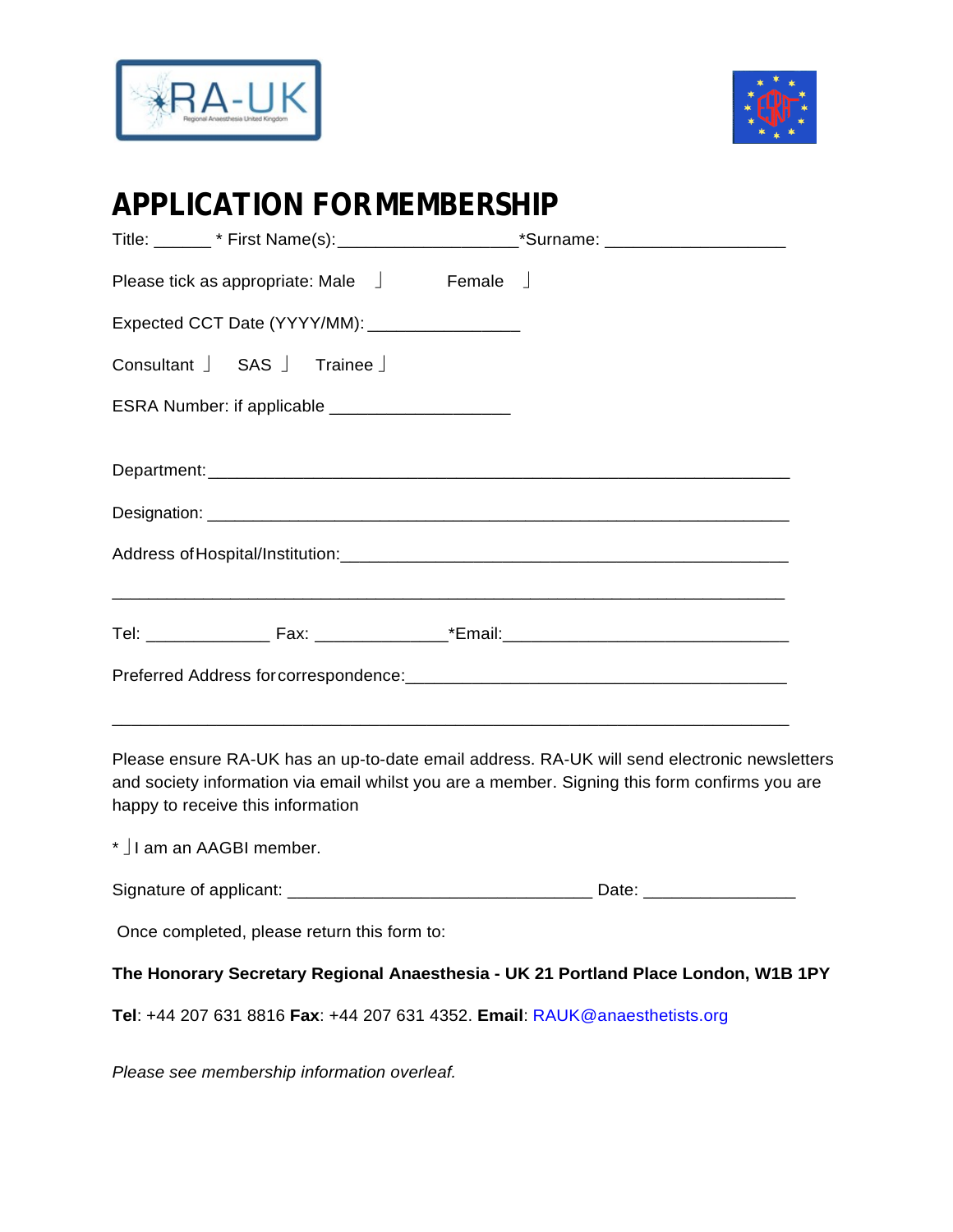



# **APPLICATION FORMEMBERSHIP**

| Title: ________* First Name(s): _________________________*Surname: _________________________________ |  |
|------------------------------------------------------------------------------------------------------|--|
| Please tick as appropriate: Male $\Box$ Female $\Box$                                                |  |
| Expected CCT Date (YYYY/MM): ____________________                                                    |  |
| Consultant SAS Trainee                                                                               |  |
| ESRA Number: if applicable ______________________                                                    |  |
|                                                                                                      |  |
|                                                                                                      |  |
|                                                                                                      |  |
|                                                                                                      |  |
|                                                                                                      |  |
|                                                                                                      |  |
|                                                                                                      |  |

Please ensure RA-UK has an up-to-date email address. RA-UK will send electronic newsletters and society information via email whilst you are a member. Signing this form confirms you are happy to receive this information

\* I am an AAGBI member. Signature of applicant: \_\_\_\_\_\_\_\_\_\_\_\_\_\_\_\_\_\_\_\_\_\_\_\_\_\_\_\_\_\_\_\_ Date: \_\_\_\_\_\_\_\_\_\_\_\_\_\_\_\_ Once completed, please return this form to: **The Honorary Secretary Regional Anaesthesia - UK 21 Portland Place London, W1B 1PY Tel**: +44 207 631 8816 **Fax**: +44 207 631 4352. **Email**: [RAUK@anaesthetists.org](mailto:RAUK@anaesthetists.org)

*Please see membership information overleaf.*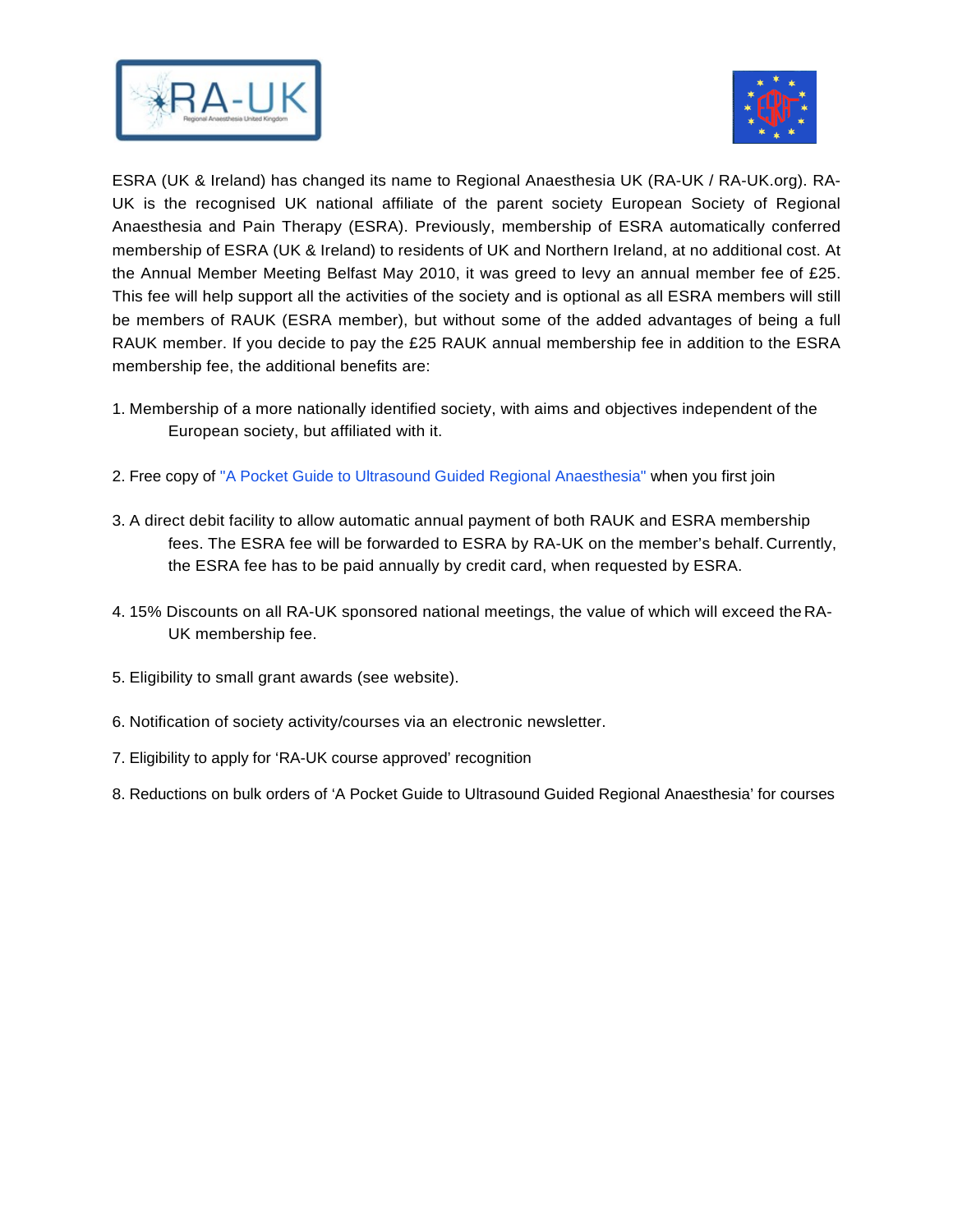



ESRA (UK & Ireland) has changed its name to Regional Anaesthesia UK (RA-UK / RA-UK.org). RA-UK is the recognised UK national affiliate of the parent society European Society of Regional Anaesthesia and Pain Therapy (ESRA). Previously, membership of ESRA automatically conferred membership of ESRA (UK & Ireland) to residents of UK and Northern Ireland, at no additional cost. At the Annual Member Meeting Belfast May 2010, it was greed to levy an annual member fee of £25. This fee will help support all the activities of the society and is optional as all ESRA members will still be members of RAUK (ESRA member), but without some of the added advantages of being a full RAUK member. If you decide to pay the £25 RAUK annual membership fee in addition to the ESRA membership fee, the additional benefits are:

- 1. Membership of a more nationally identified society, with aims and objectives independent of the European society, but affiliated with it.
- 2. Free copy of ["A Pocket Guide to Ultrasound Guided Regional Anaesthesia"](https://www.ra-uk.org/index.php/about-rauk/join-ra-uk) when you first join
- 3. A direct debit facility to allow automatic annual payment of both RAUK and ESRA membership fees. The ESRA fee will be forwarded to ESRA by RA-UK on the member's behalf. Currently, the ESRA fee has to be paid annually by credit card, when requested by ESRA.
- 4. 15% Discounts on all RA-UK sponsored national meetings, the value of which will exceed the RA-UK membership fee.
- 5. Eligibility to small grant awards (see website).
- 6. Notification of society activity/courses via an electronic newsletter.
- 7. Eligibility to apply for 'RA-UK course approved' recognition
- 8. Reductions on bulk orders of 'A Pocket Guide to Ultrasound Guided Regional Anaesthesia' for courses